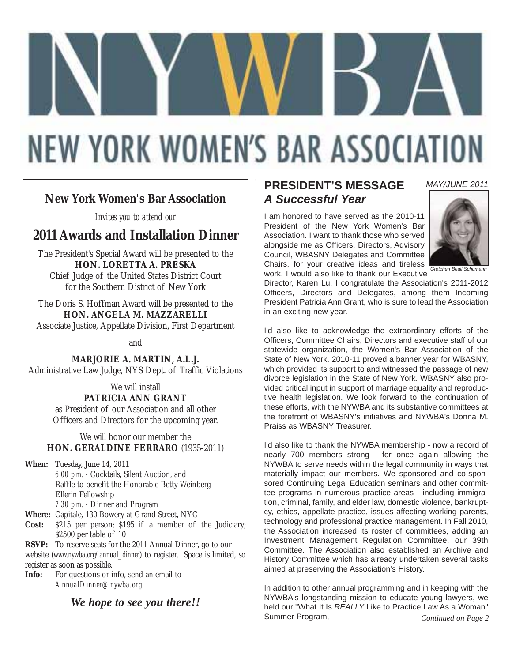# **NEW YORK WOMEN'S BAR ASSOCIATION**

### **New York Women's Bar Association**

*Invites you to attend our*

### **2011 Awards and Installation Dinner**

The President's Special Award will be presented to the **HON. LORETTA A. PRESKA** Chief Judge of the United States District Court

for the Southern District of New York

The Doris S. Hoffman Award will be presented to the **HON. ANGELA M. MAZZARELLI**

Associate Justice, Appellate Division, First Department

and

**MARJORIE A. MARTIN, A.L.J.**

Administrative Law Judge, NYS Dept. of Traffic Violations

We will install **PATRICIA ANN GRANT** 

as President of our Association and all other Officers and Directors for the upcoming year.

We will honor our member the **HON. GERALDINE FERRARO** (1935-2011)

**When:** Tuesday, June 14, 2011 *6:00 p.m.* - Cocktails, Silent Auction, and Raffle to benefit the Honorable Betty Weinberg Ellerin Fellowship *7:30 p.m.* - Dinner and Program

**Where:** Capitale, 130 Bowery at Grand Street, NYC \$215 per person; \$195 if a member of the Judiciary; \$2500 per table of 10

**RSVP:** To reserve seats for the 2011 Annual Dinner, go to our website (*www.nywba.org/annual\_dinner*) to register. Space is limited, so register as soon as possible.<br>**Info:** For questions or in

**Info:** For questions or info, send an email to *AnnualDinner@nywba.org*.

*We hope to see you there!!*

### **PRESIDENT'S MESSAGE** *A Successful Year*

I am honored to have served as the 2010-11 President of the New York Women's Bar Association. I want to thank those who served alongside me as Officers, Directors, Advisory Council, WBASNY Delegates and Committee Chairs, for your creative ideas and tireless work. I would also like to thank our Executive *Gretchen Beall Schumann*



*MAY/JUNE 2011*

Director, Karen Lu. I congratulate the Association's 2011-2012 Officers, Directors and Delegates, among them Incoming President Patricia Ann Grant, who is sure to lead the Association in an exciting new year.

I'd also like to acknowledge the extraordinary efforts of the Officers, Committee Chairs, Directors and executive staff of our statewide organization, the Women's Bar Association of the State of New York. 2010-11 proved a banner year for WBASNY, which provided its support to and witnessed the passage of new divorce legislation in the State of New York. WBASNY also provided critical input in support of marriage equality and reproductive health legislation. We look forward to the continuation of these efforts, with the NYWBA and its substantive committees at the forefront of WBASNY's initiatives and NYWBA's Donna M. Praiss as WBASNY Treasurer.

I'd also like to thank the NYWBA membership - now a record of nearly 700 members strong - for once again allowing the NYWBA to serve needs within the legal community in ways that materially impact our members. We sponsored and co-sponsored Continuing Legal Education seminars and other committee programs in numerous practice areas - including immigration, criminal, family, and elder law, domestic violence, bankruptcy, ethics, appellate practice, issues affecting working parents, technology and professional practice management. In Fall 2010, the Association increased its roster of committees, adding an Investment Management Regulation Committee, our 39th Committee. The Association also established an Archive and History Committee which has already undertaken several tasks aimed at preserving the Association's History.

In addition to other annual programming and in keeping with the NYWBA's longstanding mission to educate young lawyers, we held our "What It Is *REALLY* Like to Practice Law As a Woman" Summer Program, *Continued on Page 2*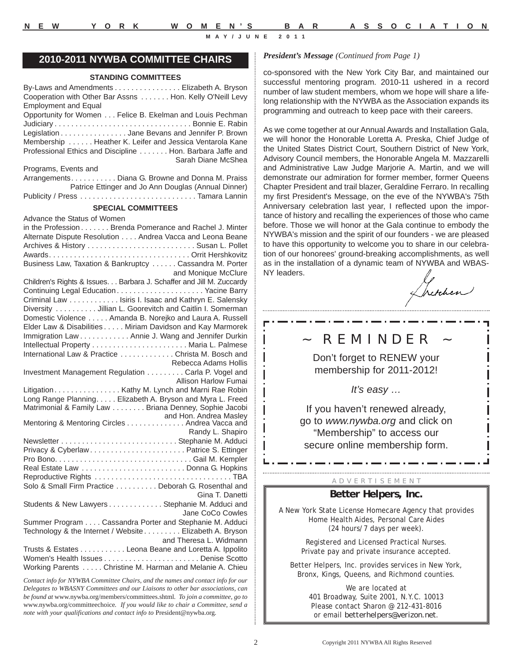ä. I ÷

 $\blacksquare$ I i

> Ī ä, I

### **2010-2011 NYWBA COMMITTEE CHAIRS**

#### **STANDING COMMITTEES**

By-Laws and Amendments . . . . . . . . . . . . . . . . Elizabeth A. Bryson Cooperation with Other Bar Assns . . . . . . . Hon. Kelly O'Neill Levy Employment and Equal Opportunity for Women . . . Felice B. Ekelman and Louis Pechman Judiciary . . . . . . . . . . . . . . . . . . . . . . . . . . . . . . . . . Bonnie E. Rabin Legislation . . . . . . . . . . . . . . . Jane Bevans and Jennifer P. Brown Membership . . . . . . Heather K. Leifer and Jessica Ventarola Kane Professional Ethics and Discipline . . . . . . . Hon. Barbara Jaffe and Sarah Diane McShea Programs, Events and Arrangements. . . . . . . . . . . Diana G. Browne and Donna M. Praiss Patrice Ettinger and Jo Ann Douglas (Annual Dinner) Publicity / Press . . . . . . . . . . . . . . . . . . . . . . . . . . . . Tamara Lannin **SPECIAL COMMITTEES** Advance the Status of Women in the Profession . . . . . . . Brenda Pomerance and Rachel J. Minter Alternate Dispute Resolution . . . . Andrea Vacca and Leona Beane Archives & History . . . . . . . . . . . . . . . . . . . . . . . . . . Susan L. Pollet Awards. . . . . . . . . . . . . . . . . . . . . . . . . . . . . . . . . . Orrit Hershkovitz Business Law, Taxation & Bankruptcy . . . . . . Cassandra M. Porter and Monique McClure Children's Rights & Issues. . . Barbara J. Schaffer and Jill M. Zuccardy Continuing Legal Education . . . . . . . . . . . . . . . . . . . . . Yacine Barry Criminal Law . . . . . . . . . . . . Isiris I. Isaac and Kathryn E. Salensky Diversity . . . . . . . . . . Jillian L. Goorevitch and Caitlin I. Somerman Domestic Violence . . . . . Amanda B. Norejko and Laura A. Russell Elder Law & Disabilities . . . . . Miriam Davidson and Kay Marmorek Immigration Law . . . . . . . . . . . . Annie J. Wang and Jennifer Durkin Intellectual Property . . . . . . . . . . . . . . . . . . . . . . . Maria L. Palmese International Law & Practice . . . . . . . . . . . . . Christa M. Bosch and Rebecca Adams Hollis Investment Management Regulation . . . . . . . . . Carla P. Vogel and Allison Harlow Fumai Litigation. . . . . . . . . . . . . . . . . . Kathy M. Lynch and Marni Rae Robin Long Range Planning. . . . . Elizabeth A. Bryson and Myra L. Freed Matrimonial & Family Law . . . . . . . . Briana Denney, Sophie Jacobi Mentoring & Mentoring Circles . . . . . . . . . . . . . . Andrea Vacca and Randy L. Shapiro Newsletter . . . . . . . . . . . . . . . . . . . . . . . . . . . . Stephanie M. Adduci Privacy & Cyberlaw . . . . . . . . . . . . . . . . . . . . . . . Patrice S. Ettinger Pro Bono. . . . . . . . . . . . . . . . . . . . . . . . . . . . . . . . . Gail M. Kempler Real Estate Law . . . . . . . . . . . . . . . . . . . . . . . . . Donna G. Hopkins Reproductive Rights . . . . . . . . . . . . . . . . . . . . . . . . . . . . . . . . . TBA Solo & Small Firm Practice . . . . . . . . . . Deborah G. Rosenthal and Gina T. Danetti Students & New Lawyers . . . . . . . . . . . . . Stephanie M. Adduci and Jane CoCo Cowles Summer Program . . . . Cassandra Porter and Stephanie M. Adduci Technology & the Internet / Website . . . . . . . . . Elizabeth A. Bryson and Theresa L. Widmann Trusts & Estates . . . . . . . . . . . Leona Beane and Loretta A. Ippolito Women's Health Issues . . . . . . . . . . . . . . . . . . . . . . . Denise Scotto Working Parents . . . . . Christine M. Harman and Melanie A. Chieu

*Contact info for NYWBA Committee Chairs, and the names and contact info for our Delegates to WBASNY Committees and our Liaisons to other bar associations, can be found at* www.nywba.org/members/committees.shtml*. To join a committee, go to* www.nywba.org/committeechoice*. If you would like to chair a Committee, send a note with your qualifications and contact info to* President@nywba.org*.*

#### *President's Message (Continued from Page 1)*

co-sponsored with the New York City Bar, and maintained our successful mentoring program. 2010-11 ushered in a record number of law student members, whom we hope will share a lifelong relationship with the NYWBA as the Association expands its programming and outreach to keep pace with their careers.

As we come together at our Annual Awards and Installation Gala, we will honor the Honorable Loretta A. Preska, Chief Judge of the United States District Court, Southern District of New York, Advisory Council members, the Honorable Angela M. Mazzarelli and Administrative Law Judge Marjorie A. Martin, and we will demonstrate our admiration for former member, former Queens Chapter President and trail blazer, Geraldine Ferraro. In recalling my first President's Message, on the eve of the NYWBA's 75th Anniversary celebration last year, I reflected upon the importance of history and recalling the experiences of those who came before. Those we will honor at the Gala continue to embody the NYWBA's mission and the spirit of our founders - we are pleased to have this opportunity to welcome you to share in our celebration of our honorees' ground-breaking accomplishments, as well as in the installation of a dynamic team of NYWBA and WBAS-NY leaders.

Internew 

### ~ REMINDER ~

مترو المتوارد متبرد متبرد متبرد متبرد

Don't forget to RENEW your membership for 2011-2012!

*It's easy …* 

If you haven't renewed already, go to *www.nywba.org* and click on "Membership" to access our secure online membership form.

#### A D V E R T I S E M E N T

#### **Better Helpers, Inc.**

A New York State License Homecare Agency that provides Home Health Aides, Personal Care Aides (24 hours/7 days per week).

> Registered and Licensed Practical Nurses. Private pay and private insurance accepted.

Better Helpers, Inc. provides services in New York, Bronx, Kings, Queens, and Richmond counties.

> We are located at 401 Broadway, Suite 2001, N.Y.C. 10013 Please contact Sharon @ 212-431-8016 or email *betterhelpers@verizon.net*.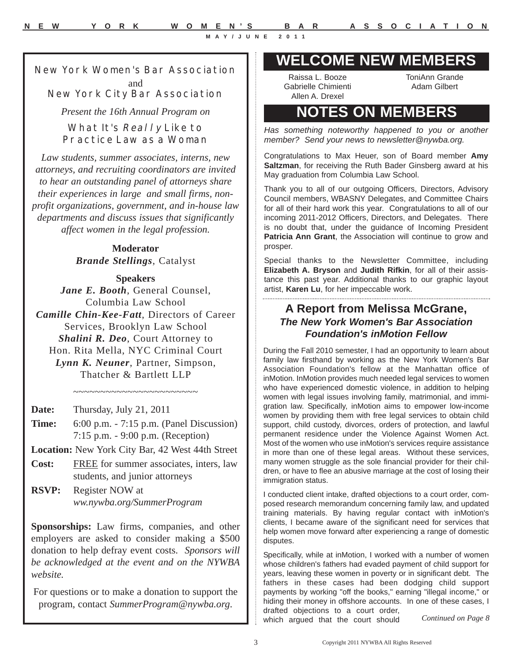### **New York Women's Bar Association** and **New York City Bar Association**

*Present the 16th Annual Program on*

### **What It's Really Like to Practice Law as a Woman**

*Law students, summer associates, interns, new attorneys, and recruiting coordinators are invited to hear an outstanding panel of attorneys share their experiences in large and small firms, nonprofit organizations, government, and in-house law departments and discuss issues that significantly affect women in the legal profession.*

> **Moderator** *Brande Stellings*, Catalyst

### **Speakers**

*Jane E. Booth*, General Counsel, Columbia Law School *Camille Chin-Kee-Fatt*, Directors of Career Services, Brooklyn Law School *Shalini R. Deo*, Court Attorney to Hon. Rita Mella, NYC Criminal Court *Lynn K. Neuner*, Partner, Simpson, Thatcher & Bartlett LLP

~~~~~~~~~~~~~~~~~~~~~~~

- **Date:** Thursday, July 21, 2011
- **Time:** 6:00 p.m. 7:15 p.m. (Panel Discussion) 7:15 p.m. - 9:00 p.m. (Reception)
- **Location:** New York City Bar, 42 West 44th Street
- **Cost:** FREE for summer associates, inters, law students, and junior attorneys
- **RSVP:** Register NOW at *ww.nywba.org/SummerProgram*

**Sponsorships:** Law firms, companies, and other employers are asked to consider making a \$500 donation to help defray event costs. *Sponsors will be acknowledged at the event and on the NYWBA website.*

For questions or to make a donation to support the program, contact *SummerProgram@nywba.org*.

### **WELCOME NEW MEMBERS**

Raissa L. Booze Gabrielle Chimienti Allen A. Drexel

ToniAnn Grande Adam Gilbert

### **NOTES ON MEMBERS**

*Has something noteworthy happened to you or another member? Send your news to newsletter@nywba.org.*

Congratulations to Max Heuer, son of Board member **Amy Saltzman**, for receiving the Ruth Bader Ginsberg award at his May graduation from Columbia Law School.

Thank you to all of our outgoing Officers, Directors, Advisory Council members, WBASNY Delegates, and Committee Chairs for all of their hard work this year. Congratulations to all of our incoming 2011-2012 Officers, Directors, and Delegates. There is no doubt that, under the guidance of Incoming President **Patricia Ann Grant**, the Association will continue to grow and prosper.

Special thanks to the Newsletter Committee, including **Elizabeth A. Bryson** and **Judith Rifkin**, for all of their assistance this past year. Additional thanks to our graphic layout artist, **Karen Lu**, for her impeccable work.

### **A Report from Melissa McGrane,** *The New York Women's Bar Association Foundation's inMotion Fellow*

During the Fall 2010 semester, I had an opportunity to learn about family law firsthand by working as the New York Women's Bar Association Foundation's fellow at the Manhattan office of inMotion. InMotion provides much needed legal services to women who have experienced domestic violence, in addition to helping women with legal issues involving family, matrimonial, and immigration law. Specifically, inMotion aims to empower low-income women by providing them with free legal services to obtain child support, child custody, divorces, orders of protection, and lawful permanent residence under the Violence Against Women Act. Most of the women who use inMotion's services require assistance in more than one of these legal areas. Without these services, many women struggle as the sole financial provider for their children, or have to flee an abusive marriage at the cost of losing their immigration status.

I conducted client intake, drafted objections to a court order, composed research memorandum concerning family law, and updated training materials. By having regular contact with inMotion's clients, I became aware of the significant need for services that help women move forward after experiencing a range of domestic disputes.

Specifically, while at inMotion, I worked with a number of women whose children's fathers had evaded payment of child support for years, leaving these women in poverty or in significant debt. The fathers in these cases had been dodging child support payments by working "off the books," earning "illegal income," or hiding their money in offshore accounts. In one of these cases, I drafted objections to a court order,

which argued that the court should *Continued on Page 8*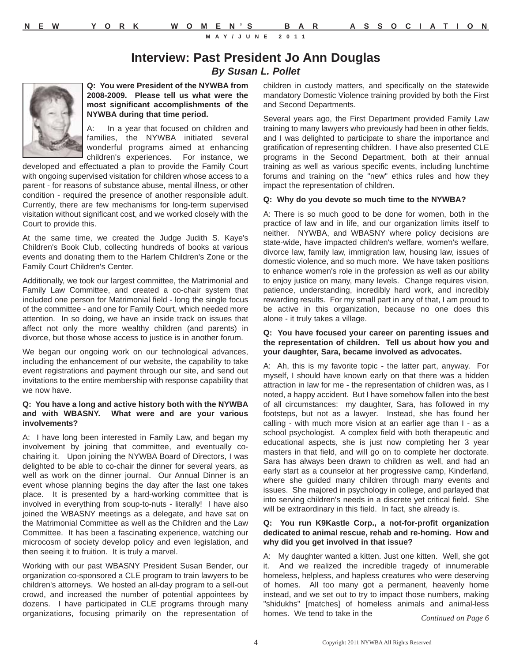### **Interview: Past President Jo Ann Douglas**

*By Susan L. Pollet*



**Q: You were President of the NYWBA from 2008-2009. Please tell us what were the most significant accomplishments of the NYWBA during that time period.**

A: In a year that focused on children and families, the NYWBA initiated several wonderful programs aimed at enhancing children's experiences. For instance, we

developed and effectuated a plan to provide the Family Court with ongoing supervised visitation for children whose access to a parent - for reasons of substance abuse, mental illness, or other condition - required the presence of another responsible adult. Currently, there are few mechanisms for long-term supervised visitation without significant cost, and we worked closely with the Court to provide this.

At the same time, we created the Judge Judith S. Kaye's Children's Book Club, collecting hundreds of books at various events and donating them to the Harlem Children's Zone or the Family Court Children's Center.

Additionally, we took our largest committee, the Matrimonial and Family Law Committee, and created a co-chair system that included one person for Matrimonial field - long the single focus of the committee - and one for Family Court, which needed more attention. In so doing, we have an inside track on issues that affect not only the more wealthy children (and parents) in divorce, but those whose access to justice is in another forum.

We began our ongoing work on our technological advances, including the enhancement of our website, the capability to take event registrations and payment through our site, and send out invitations to the entire membership with response capability that we now have.

#### **Q: You have a long and active history both with the NYWBA and with WBASNY. What were and are your various involvements?**

A: I have long been interested in Family Law, and began my involvement by joining that committee, and eventually cochairing it. Upon joining the NYWBA Board of Directors, I was delighted to be able to co-chair the dinner for several years, as well as work on the dinner journal. Our Annual Dinner is an event whose planning begins the day after the last one takes place. It is presented by a hard-working committee that is involved in everything from soup-to-nuts - literally! I have also joined the WBASNY meetings as a delegate, and have sat on the Matrimonial Committee as well as the Children and the Law Committee. It has been a fascinating experience, watching our microcosm of society develop policy and even legislation, and then seeing it to fruition. It is truly a marvel.

Working with our past WBASNY President Susan Bender, our organization co-sponsored a CLE program to train lawyers to be children's attorneys. We hosted an all-day program to a sell-out crowd, and increased the number of potential appointees by dozens. I have participated in CLE programs through many organizations, focusing primarily on the representation of

children in custody matters, and specifically on the statewide mandatory Domestic Violence training provided by both the First and Second Departments.

Several years ago, the First Department provided Family Law training to many lawyers who previously had been in other fields, and I was delighted to participate to share the importance and gratification of representing children. I have also presented CLE programs in the Second Department, both at their annual training as well as various specific events, including lunchtime forums and training on the "new" ethics rules and how they impact the representation of children.

#### **Q: Why do you devote so much time to the NYWBA?**

A: There is so much good to be done for women, both in the practice of law and in life, and our organization limits itself to neither. NYWBA, and WBASNY where policy decisions are state-wide, have impacted children's welfare, women's welfare, divorce law, family law, immigration law, housing law, issues of domestic violence, and so much more. We have taken positions to enhance women's role in the profession as well as our ability to enjoy justice on many, many levels. Change requires vision, patience, understanding, incredibly hard work, and incredibly rewarding results. For my small part in any of that, I am proud to be active in this organization, because no one does this alone - it truly takes a village.

#### **Q: You have focused your career on parenting issues and the representation of children. Tell us about how you and your daughter, Sara, became involved as advocates.**

A: Ah, this is my favorite topic - the latter part, anyway. For myself, I should have known early on that there was a hidden attraction in law for me - the representation of children was, as I noted, a happy accident. But I have somehow fallen into the best of all circumstances: my daughter, Sara, has followed in my footsteps, but not as a lawyer. Instead, she has found her calling - with much more vision at an earlier age than I - as a school psychologist. A complex field with both therapeutic and educational aspects, she is just now completing her 3 year masters in that field, and will go on to complete her doctorate. Sara has always been drawn to children as well, and had an early start as a counselor at her progressive camp, Kinderland, where she guided many children through many events and issues. She majored in psychology in college, and parlayed that into serving children's needs in a discrete yet critical field. She will be extraordinary in this field. In fact, she already is.

#### **Q: You run K9Kastle Corp., a not-for-profit organization dedicated to animal rescue, rehab and re-homing. How and why did you get involved in that issue?**

A: My daughter wanted a kitten. Just one kitten. Well, she got it. And we realized the incredible tragedy of innumerable homeless, helpless, and hapless creatures who were deserving of homes. All too many got a permanent, heavenly home instead, and we set out to try to impact those numbers, making "shidukhs" [matches] of homeless animals and animal-less homes. We tend to take in the

*Continued on Page 6*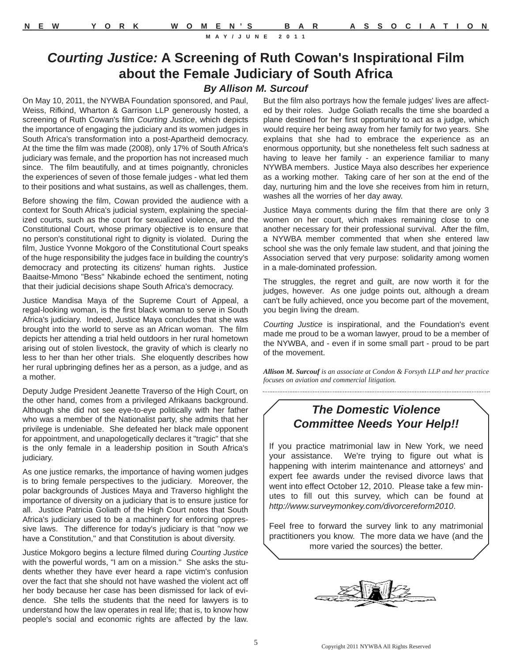### *Courting Justice:* **A Screening of Ruth Cowan's Inspirational Film about the Female Judiciary of South Africa**

### *By Allison M. Surcouf*

On May 10, 2011, the NYWBA Foundation sponsored, and Paul, Weiss, Rifkind, Wharton & Garrison LLP generously hosted, a screening of Ruth Cowan's film *Courting Justice*, which depicts the importance of engaging the judiciary and its women judges in South Africa's transformation into a post-Apartheid democracy. At the time the film was made (2008), only 17% of South Africa's judiciary was female, and the proportion has not increased much since. The film beautifully, and at times poignantly, chronicles the experiences of seven of those female judges - what led them to their positions and what sustains, as well as challenges, them.

Before showing the film, Cowan provided the audience with a context for South Africa's judicial system, explaining the specialized courts, such as the court for sexualized violence, and the Constitutional Court, whose primary objective is to ensure that no person's constitutional right to dignity is violated. During the film, Justice Yvonne Mokgoro of the Constitutional Court speaks of the huge responsibility the judges face in building the country's democracy and protecting its citizens' human rights. Justice Baaitse-Mmono "Bess" Nkabinde echoed the sentiment, noting that their judicial decisions shape South Africa's democracy.

Justice Mandisa Maya of the Supreme Court of Appeal, a regal-looking woman, is the first black woman to serve in South Africa's judiciary. Indeed, Justice Maya concludes that she was brought into the world to serve as an African woman. The film depicts her attending a trial held outdoors in her rural hometown arising out of stolen livestock, the gravity of which is clearly no less to her than her other trials. She eloquently describes how her rural upbringing defines her as a person, as a judge, and as a mother.

Deputy Judge President Jeanette Traverso of the High Court, on the other hand, comes from a privileged Afrikaans background. Although she did not see eye-to-eye politically with her father who was a member of the Nationalist party, she admits that her privilege is undeniable. She defeated her black male opponent for appointment, and unapologetically declares it "tragic" that she is the only female in a leadership position in South Africa's judiciary.

As one justice remarks, the importance of having women judges is to bring female perspectives to the judiciary. Moreover, the polar backgrounds of Justices Maya and Traverso highlight the importance of diversity on a judiciary that is to ensure justice for all. Justice Patricia Goliath of the High Court notes that South Africa's judiciary used to be a machinery for enforcing oppressive laws. The difference for today's judiciary is that "now we have a Constitution," and that Constitution is about diversity.

Justice Mokgoro begins a lecture filmed during *Courting Justice* with the powerful words, "I am on a mission." She asks the students whether they have ever heard a rape victim's confusion over the fact that she should not have washed the violent act off her body because her case has been dismissed for lack of evidence. She tells the students that the need for lawyers is to understand how the law operates in real life; that is, to know how people's social and economic rights are affected by the law.

But the film also portrays how the female judges' lives are affected by their roles. Judge Goliath recalls the time she boarded a plane destined for her first opportunity to act as a judge, which would require her being away from her family for two years. She explains that she had to embrace the experience as an enormous opportunity, but she nonetheless felt such sadness at having to leave her family - an experience familiar to many NYWBA members. Justice Maya also describes her experience as a working mother. Taking care of her son at the end of the day, nurturing him and the love she receives from him in return, washes all the worries of her day away.

Justice Maya comments during the film that there are only 3 women on her court, which makes remaining close to one another necessary for their professional survival. After the film, a NYWBA member commented that when she entered law school she was the only female law student, and that joining the Association served that very purpose: solidarity among women in a male-dominated profession.

The struggles, the regret and guilt, are now worth it for the judges, however. As one judge points out, although a dream can't be fully achieved, once you become part of the movement, you begin living the dream.

*Courting Justice* is inspirational, and the Foundation's event made me proud to be a woman lawyer, proud to be a member of the NYWBA, and - even if in some small part - proud to be part of the movement.

*Allison M. Surcouf is an associate at Condon & Forsyth LLP and her practice focuses on aviation and commercial litigation.*  

### *The Domestic Violence Committee Needs Your Help!!*

If you practice matrimonial law in New York, we need your assistance. We're trying to figure out what is happening with interim maintenance and attorneys' and expert fee awards under the revised divorce laws that went into effect October 12, 2010. Please take a few minutes to fill out this survey, which can be found at *http://www.surveymonkey.com/divorcereform2010*.

Feel free to forward the survey link to any matrimonial practitioners you know. The more data we have (and the more varied the sources) the better.

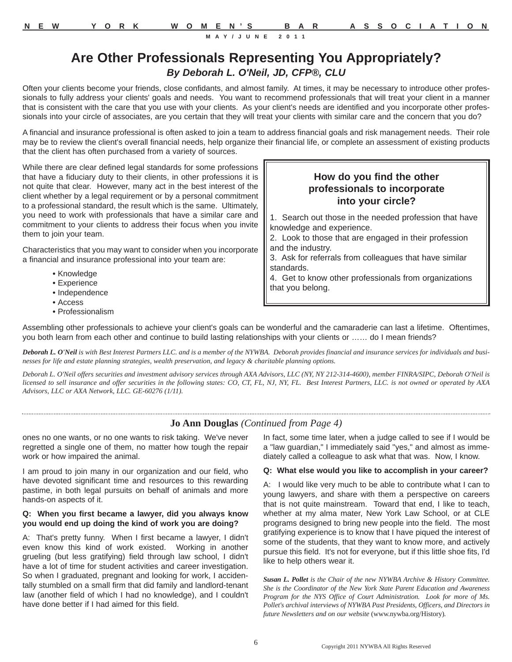### **Are Other Professionals Representing You Appropriately?** *By Deborah L. O'Neil, JD, CFP®, CLU*

Often your clients become your friends, close confidants, and almost family. At times, it may be necessary to introduce other professionals to fully address your clients' goals and needs. You want to recommend professionals that will treat your client in a manner that is consistent with the care that you use with your clients. As your client's needs are identified and you incorporate other professionals into your circle of associates, are you certain that they will treat your clients with similar care and the concern that you do?

A financial and insurance professional is often asked to join a team to address financial goals and risk management needs. Their role may be to review the client's overall financial needs, help organize their financial life, or complete an assessment of existing products that the client has often purchased from a variety of sources.

While there are clear defined legal standards for some professions that have a fiduciary duty to their clients, in other professions it is not quite that clear. However, many act in the best interest of the client whether by a legal requirement or by a personal commitment to a professional standard, the result which is the same. Ultimately, you need to work with professionals that have a similar care and commitment to your clients to address their focus when you invite them to join your team.

Characteristics that you may want to consider when you incorporate a financial and insurance professional into your team are:

- Knowledge
- Experience
- Independence
- Access
- Professionalism

### **How do you find the other professionals to incorporate into your circle?**

1. Search out those in the needed profession that have knowledge and experience.

- 2. Look to those that are engaged in their profession and the industry.
- 3. Ask for referrals from colleagues that have similar standards.

4. Get to know other professionals from organizations that you belong.

Assembling other professionals to achieve your client's goals can be wonderful and the camaraderie can last a lifetime. Oftentimes, you both learn from each other and continue to build lasting relationships with your clients or …… do I mean friends?

Deborah L. O'Neil is with Best Interest Partners LLC. and is a member of the NYWBA. Deborah provides financial and insurance services for individuals and busi*nesses for life and estate planning strategies, wealth preservation, and legacy & charitable planning options.*

*Deborah L. O'Neil offers securities and investment advisory services through AXA Advisors, LLC (NY, NY 212-314-4600), member FINRA/SIPC, Deborah O'Neil is licensed to sell insurance and offer securities in the following states: CO, CT, FL, NJ, NY, FL. Best Interest Partners, LLC. is not owned or operated by AXA Advisors, LLC or AXA Network, LLC. GE-60276 (1/11).*

#### **Jo Ann Douglas** *(Continued from Page 4)*

ones no one wants, or no one wants to risk taking. We've never regretted a single one of them, no matter how tough the repair work or how impaired the animal.

I am proud to join many in our organization and our field, who have devoted significant time and resources to this rewarding pastime, in both legal pursuits on behalf of animals and more hands-on aspects of it.

#### **Q: When you first became a lawyer, did you always know you would end up doing the kind of work you are doing?**

A: That's pretty funny. When I first became a lawyer, I didn't even know this kind of work existed. Working in another grueling (but less gratifying) field through law school, I didn't have a lot of time for student activities and career investigation. So when I graduated, pregnant and looking for work, I accidentally stumbled on a small firm that did family and landlord-tenant law (another field of which I had no knowledge), and I couldn't have done better if I had aimed for this field.

In fact, some time later, when a judge called to see if I would be a "law guardian," I immediately said "yes," and almost as immediately called a colleague to ask what that was. Now, I know.

#### **Q: What else would you like to accomplish in your career?**

A: I would like very much to be able to contribute what I can to young lawyers, and share with them a perspective on careers that is not quite mainstream. Toward that end, I like to teach, whether at my alma mater, New York Law School, or at CLE programs designed to bring new people into the field. The most gratifying experience is to know that I have piqued the interest of some of the students, that they want to know more, and actively pursue this field. It's not for everyone, but if this little shoe fits, I'd like to help others wear it.

*Susan L. Pollet is the Chair of the new NYWBA Archive & History Committee. She is the Coordinator of the New York State Parent Education and Awareness Program for the NYS Office of Court Administration. Look for more of Ms. Pollet's archival interviews of NYWBA Past Presidents, Officers, and Directors in future Newsletters and on our website* (www.nywba.org/History)*.*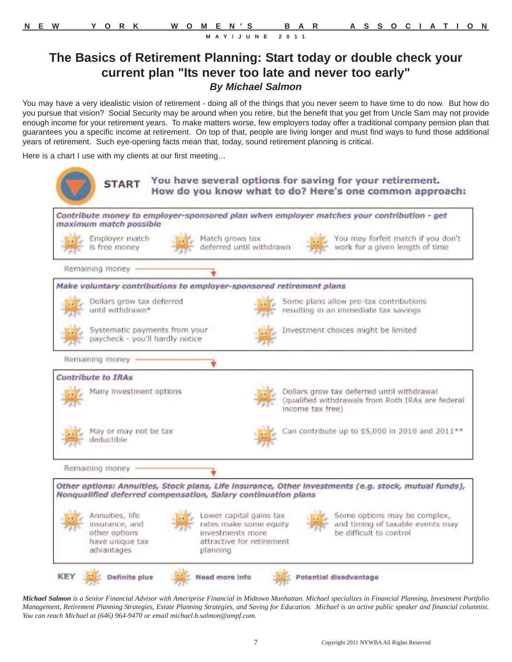### **The Basics of Retirement Planning: Start today or double check your current plan "Its never too late and never too early"** *By Michael Salmon*

You may have a very idealistic vision of retirement - doing all of the things that you never seem to have time to do now. But how do you pursue that vision? Social Security may be around when you retire, but the benefit that you get from Uncle Sam may not provide enough income for your retirement years. To make matters worse, few employers today offer a traditional company pension plan that guarantees you a specific income at retirement. On top of that, people are living longer and must find ways to fund those additional years of retirement. Such eye-opening facts mean that, today, sound retirement planning is critical.

Here is a chart I use with my clients at our first meeting…

500

*Michael Salmon is a Senior Financial Advisor with Ameriprise Financial in Midtown Manhattan. Michael specializes in Financial Planning, Investment Portfolio Management, Retirement Planning Strategies, Estate Planning Strategies, and Saving for Education. Michael is an active public speaker and financial columnist. You can reach Michael at (646) 964-9470 or email michael.b.salmon@ampf.com.*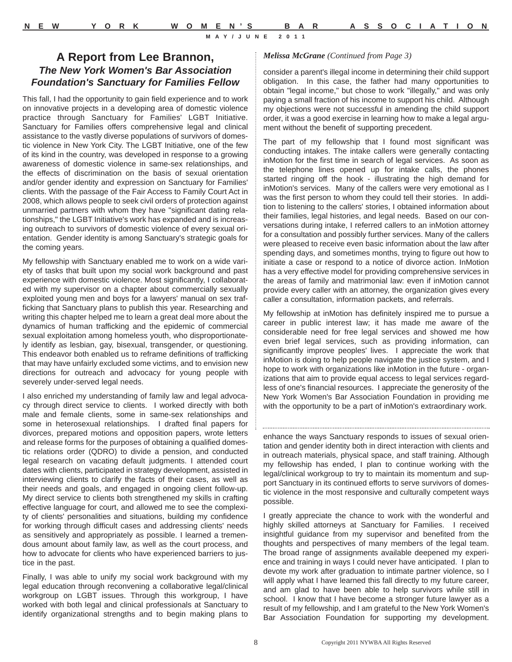### **A Report from Lee Brannon,** *The New York Women's Bar Association Foundation's Sanctuary for Families Fellow*

This fall, I had the opportunity to gain field experience and to work on innovative projects in a developing area of domestic violence practice through Sanctuary for Families' LGBT Initiative. Sanctuary for Families offers comprehensive legal and clinical assistance to the vastly diverse populations of survivors of domestic violence in New York City. The LGBT Initiative, one of the few of its kind in the country, was developed in response to a growing awareness of domestic violence in same-sex relationships, and the effects of discrimination on the basis of sexual orientation and/or gender identity and expression on Sanctuary for Families' clients. With the passage of the Fair Access to Family Court Act in 2008, which allows people to seek civil orders of protection against unmarried partners with whom they have "significant dating relationships," the LGBT Initiative's work has expanded and is increasing outreach to survivors of domestic violence of every sexual orientation. Gender identity is among Sanctuary's strategic goals for the coming years.

My fellowship with Sanctuary enabled me to work on a wide variety of tasks that built upon my social work background and past experience with domestic violence. Most significantly, I collaborated with my supervisor on a chapter about commercially sexually exploited young men and boys for a lawyers' manual on sex trafficking that Sanctuary plans to publish this year. Researching and writing this chapter helped me to learn a great deal more about the dynamics of human trafficking and the epidemic of commercial sexual exploitation among homeless youth, who disproportionately identify as lesbian, gay, bisexual, transgender, or questioning. This endeavor both enabled us to reframe definitions of trafficking that may have unfairly excluded some victims, and to envision new directions for outreach and advocacy for young people with severely under-served legal needs.

I also enriched my understanding of family law and legal advocacy through direct service to clients. I worked directly with both male and female clients, some in same-sex relationships and some in heterosexual relationships. I drafted final papers for divorces, prepared motions and opposition papers, wrote letters and release forms for the purposes of obtaining a qualified domestic relations order (QDRO) to divide a pension, and conducted legal research on vacating default judgments. I attended court dates with clients, participated in strategy development, assisted in interviewing clients to clarify the facts of their cases, as well as their needs and goals, and engaged in ongoing client follow-up. My direct service to clients both strengthened my skills in crafting effective language for court, and allowed me to see the complexity of clients' personalities and situations, building my confidence for working through difficult cases and addressing clients' needs as sensitively and appropriately as possible. I learned a tremendous amount about family law, as well as the court process, and how to advocate for clients who have experienced barriers to justice in the past.

Finally, I was able to unify my social work background with my legal education through reconvening a collaborative legal/clinical workgroup on LGBT issues. Through this workgroup, I have worked with both legal and clinical professionals at Sanctuary to identify organizational strengths and to begin making plans to

#### *Melissa McGrane (Continued from Page 3)*

consider a parent's illegal income in determining their child support obligation. In this case, the father had many opportunities to obtain "legal income," but chose to work "illegally," and was only paying a small fraction of his income to support his child. Although my objections were not successful in amending the child support order, it was a good exercise in learning how to make a legal argument without the benefit of supporting precedent.

The part of my fellowship that I found most significant was conducting intakes. The intake callers were generally contacting inMotion for the first time in search of legal services. As soon as the telephone lines opened up for intake calls, the phones started ringing off the hook - illustrating the high demand for inMotion's services. Many of the callers were very emotional as I was the first person to whom they could tell their stories. In addition to listening to the callers' stories, I obtained information about their families, legal histories, and legal needs. Based on our conversations during intake, I referred callers to an inMotion attorney for a consultation and possibly further services. Many of the callers were pleased to receive even basic information about the law after spending days, and sometimes months, trying to figure out how to initiate a case or respond to a notice of divorce action. InMotion has a very effective model for providing comprehensive services in the areas of family and matrimonial law: even if inMotion cannot provide every caller with an attorney, the organization gives every caller a consultation, information packets, and referrals.

My fellowship at inMotion has definitely inspired me to pursue a career in public interest law; it has made me aware of the considerable need for free legal services and showed me how even brief legal services, such as providing information, can significantly improve peoples' lives. I appreciate the work that inMotion is doing to help people navigate the justice system, and I hope to work with organizations like inMotion in the future - organizations that aim to provide equal access to legal services regardless of one's financial resources. I appreciate the generosity of the New York Women's Bar Association Foundation in providing me with the opportunity to be a part of inMotion's extraordinary work.

enhance the ways Sanctuary responds to issues of sexual orientation and gender identity both in direct interaction with clients and in outreach materials, physical space, and staff training. Although my fellowship has ended, I plan to continue working with the legal/clinical workgroup to try to maintain its momentum and support Sanctuary in its continued efforts to serve survivors of domestic violence in the most responsive and culturally competent ways possible.

I greatly appreciate the chance to work with the wonderful and highly skilled attorneys at Sanctuary for Families. I received insightful guidance from my supervisor and benefited from the thoughts and perspectives of many members of the legal team. The broad range of assignments available deepened my experience and training in ways I could never have anticipated. I plan to devote my work after graduation to intimate partner violence, so I will apply what I have learned this fall directly to my future career, and am glad to have been able to help survivors while still in school. I know that I have become a stronger future lawyer as a result of my fellowship, and I am grateful to the New York Women's Bar Association Foundation for supporting my development.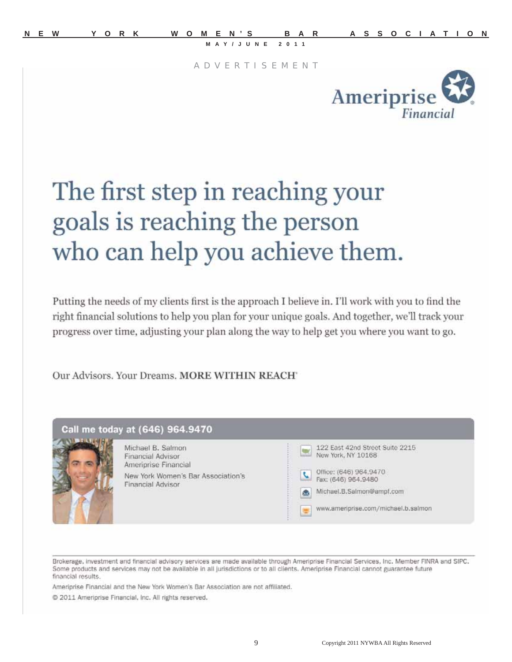A D V E R T I S E M E N T



## The first step in reaching your goals is reaching the person who can help you achieve them.

Putting the needs of my clients first is the approach I believe in. I'll work with you to find the right financial solutions to help you plan for your unique goals. And together, we'll track your progress over time, adjusting your plan along the way to help get you where you want to go.

Our Advisors, Your Dreams, MORE WITHIN REACH'



Brokerage, investment and financial advisory services are made available through Ameriprise Financial Services, Inc. Member FINRA and SIPC. Some products and services may not be available in all jurisdictions or to all clients. Ameriprise Financial cannot guarantee future financial results.

Ameriprise Financial and the New York Women's Bar Association are not affiliated.

2011 Ameriprise Financial, Inc. All rights reserved.